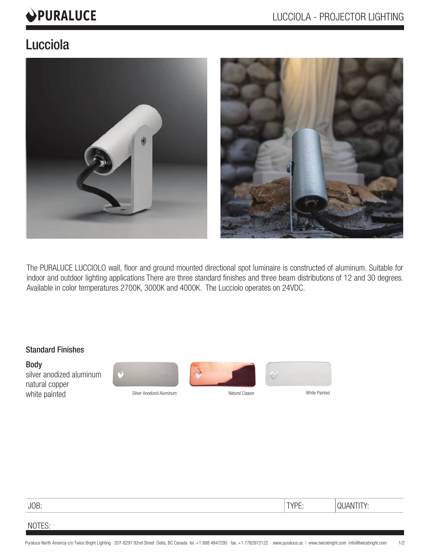# **OPURALUCE**

# Lucciola



The PURALUCE LUCCIOLO wall, floor and ground mounted directional spot luminaire is constructed of aluminum. Suitable for indoor and outdoor lighting applications There are three standard finishes and three beam distributions of 12 and 30 degrees. Available in color temperatures 2700K, 3000K and 4000K. The Lucciolo operates on 24VDC.

## Standard Finishes

Body silver anodized aluminum natural copper white painted white Painted Silver Anodized Aluminum Natural Copper Natural Copper





i



| JOB: | <b>TVDE</b><br>— | the contract of the contract of the contract of |
|------|------------------|-------------------------------------------------|
|      |                  |                                                 |

# NOTES: